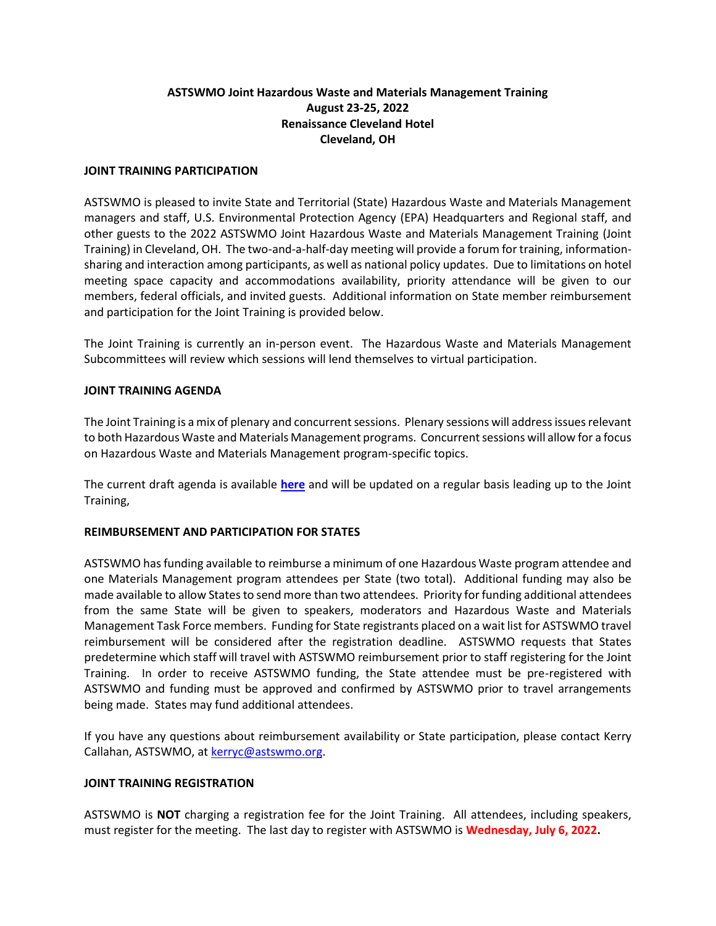# **ASTSWMO Joint Hazardous Waste and Materials Management Training August 23-25, 2022 Renaissance Cleveland Hotel Cleveland, OH**

### **JOINT TRAINING PARTICIPATION**

ASTSWMO is pleased to invite State and Territorial (State) Hazardous Waste and Materials Management managers and staff, U.S. Environmental Protection Agency (EPA) Headquarters and Regional staff, and other guests to the 2022 ASTSWMO Joint Hazardous Waste and Materials Management Training (Joint Training) in Cleveland, OH. The two-and-a-half-day meeting will provide a forum for training, informationsharing and interaction among participants, as well as national policy updates. Due to limitations on hotel meeting space capacity and accommodations availability, priority attendance will be given to our members, federal officials, and invited guests. Additional information on State member reimbursement and participation for the Joint Training is provided below.

The Joint Training is currently an in-person event. The Hazardous Waste and Materials Management Subcommittees will review which sessions will lend themselves to virtual participation.

### **JOINT TRAINING AGENDA**

The Joint Training is a mix of plenary and concurrent sessions. Plenary sessions will address issues relevant to both Hazardous Waste and Materials Management programs. Concurrent sessions will allow for a focus on Hazardous Waste and Materials Management program-specific topics.

The current draft agenda is available **[here](https://astswmo.org/files/Meetings/2022/HWMM/agenda.pdf)** and will be updated on a regular basis leading up to the Joint Training,

## **REIMBURSEMENT AND PARTICIPATION FOR STATES**

ASTSWMO has funding available to reimburse a minimum of one Hazardous Waste program attendee and one Materials Management program attendees per State (two total). Additional funding may also be made available to allow States to send more than two attendees. Priority for funding additional attendees from the same State will be given to speakers, moderators and Hazardous Waste and Materials Management Task Force members. Funding for State registrants placed on a wait list for ASTSWMO travel reimbursement will be considered after the registration deadline. ASTSWMO requests that States predetermine which staff will travel with ASTSWMO reimbursement prior to staff registering for the Joint Training. In order to receive ASTSWMO funding, the State attendee must be pre-registered with ASTSWMO and funding must be approved and confirmed by ASTSWMO prior to travel arrangements being made. States may fund additional attendees.

If you have any questions about reimbursement availability or State participation, please contact Kerry Callahan, ASTSWMO, at [kerryc@astswmo.org.](mailto:kerryc@astswmo.org)

#### **JOINT TRAINING REGISTRATION**

ASTSWMO is **NOT** charging a registration fee for the Joint Training. All attendees, including speakers, must register for the meeting. The last day to register with ASTSWMO is **Wednesday, July 6, 2022.**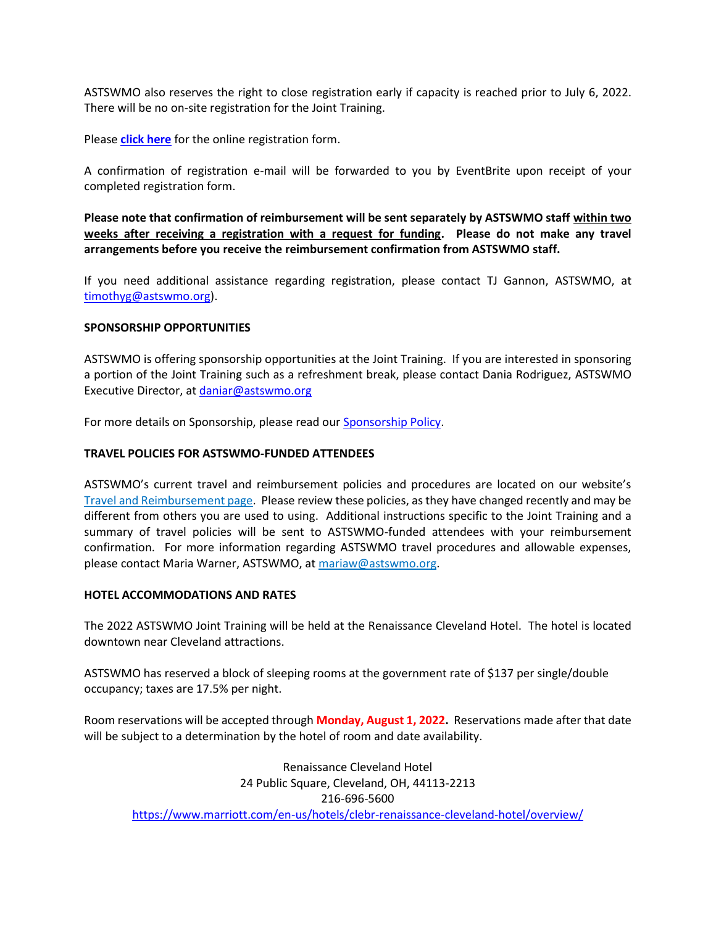ASTSWMO also reserves the right to close registration early if capacity is reached prior to July 6, 2022. There will be no on-site registration for the Joint Training.

Please **[click here](https://www.eventbrite.com/e/2022-astswmo-joint-hazardous-waste-and-materials-management-training-tickets-330025303567)** for the online registration form.

A confirmation of registration e-mail will be forwarded to you by EventBrite upon receipt of your completed registration form.

**Please note that confirmation of reimbursement will be sent separately by ASTSWMO staff within two weeks after receiving a registration with a request for funding. Please do not make any travel arrangements before you receive the reimbursement confirmation from ASTSWMO staff.** 

If you need additional assistance regarding registration, please contact TJ Gannon, ASTSWMO, at [timothyg@astswmo.org\)](mailto:timothyg@astswmo.org).

### **SPONSORSHIP OPPORTUNITIES**

ASTSWMO is offering sponsorship opportunities at the Joint Training. If you are interested in sponsoring a portion of the Joint Training such as a refreshment break, please contact Dania Rodriguez, ASTSWMO Executive Director, a[t daniar@astswmo.org](mailto:daniar@astswmo.org)

For more details on Sponsorship, please read ou[r Sponsorship Policy.](http://astswmo.org/files/policies/Sponsorship-Policy.pdf)

### **TRAVEL POLICIES FOR ASTSWMO-FUNDED ATTENDEES**

ASTSWMO's current travel and reimbursement policies and procedures are located on our website's [Travel and Reimbursement page.](http://astswmo.org/files/policies/ASTSWMO_Travel_Policy.pdf) Please review these policies, asthey have changed recently and may be different from others you are used to using. Additional instructions specific to the Joint Training and a summary of travel policies will be sent to ASTSWMO-funded attendees with your reimbursement confirmation. For more information regarding ASTSWMO travel procedures and allowable expenses, please contact Maria Warner, ASTSWMO, a[t mariaw@astswmo.org.](mailto:mariaw@astswmo.org)

## **HOTEL ACCOMMODATIONS AND RATES**

The 2022 ASTSWMO Joint Training will be held at the Renaissance Cleveland Hotel. The hotel is located downtown near Cleveland attractions.

ASTSWMO has reserved a block of sleeping rooms at the government rate of \$137 per single/double occupancy; taxes are 17.5% per night.

Room reservations will be accepted through **Monday, August 1, 2022.** Reservations made after that date will be subject to a determination by the hotel of room and date availability.

Renaissance Cleveland Hotel 24 Public Square, Cleveland, OH, 44113-2213 216-696-5600 <https://www.marriott.com/en-us/hotels/clebr-renaissance-cleveland-hotel/overview/>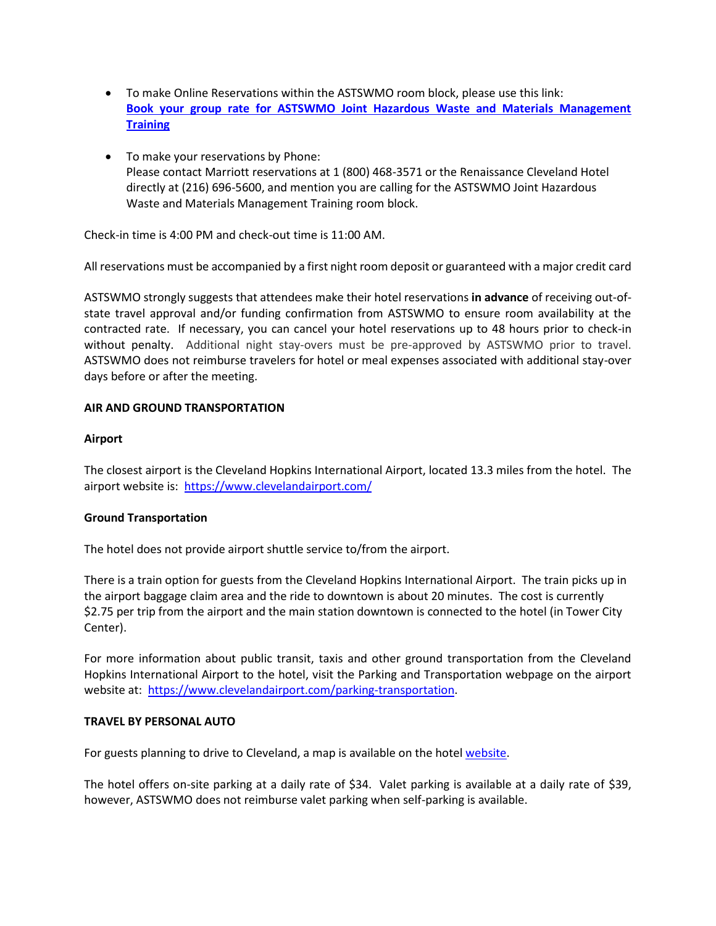- To make Online Reservations within the ASTSWMO room block, please use this link: **[Book your group rate for ASTSWMO Joint Hazardous Waste and Materials Management](https://www.marriott.com/events/start.mi?id=1633022584538&key=GRP)  [Training](https://www.marriott.com/events/start.mi?id=1633022584538&key=GRP)**
- To make your reservations by Phone: Please contact Marriott reservations at 1 (800) 468-3571 or the Renaissance Cleveland Hotel directly at (216) 696-5600, and mention you are calling for the ASTSWMO Joint Hazardous Waste and Materials Management Training room block.

Check-in time is 4:00 PM and check-out time is 11:00 AM.

All reservations must be accompanied by a first night room deposit or guaranteed with a major credit card

ASTSWMO strongly suggests that attendees make their hotel reservations **in advance** of receiving out-ofstate travel approval and/or funding confirmation from ASTSWMO to ensure room availability at the contracted rate. If necessary, you can cancel your hotel reservations up to 48 hours prior to check-in without penalty. Additional night stay-overs must be pre-approved by ASTSWMO prior to travel. ASTSWMO does not reimburse travelers for hotel or meal expenses associated with additional stay-over days before or after the meeting.

## **AIR AND GROUND TRANSPORTATION**

### **Airport**

The closest airport is the Cleveland Hopkins International Airport, located 13.3 miles from the hotel. The airport website is:<https://www.clevelandairport.com/>

## **Ground Transportation**

The hotel does not provide airport shuttle service to/from the airport.

There is a train option for guests from the Cleveland Hopkins International Airport. The train picks up in the airport baggage claim area and the ride to downtown is about 20 minutes. The cost is currently \$2.75 per trip from the airport and the main station downtown is connected to the hotel (in Tower City Center).

For more information about public transit, taxis and other ground transportation from the Cleveland Hopkins International Airport to the hotel, visit the Parking and Transportation webpage on the airport website at: [https://www.clevelandairport.com/parking-transportation.](https://www.clevelandairport.com/parking-transportation)

#### **TRAVEL BY PERSONAL AUTO**

For guests planning to drive to Cleveland, a map is available on the hotel [website.](https://www.google.com/maps/place/Renaissance+Cleveland+Hotel/@41.4986782,-81.6947329,17z/data=!3m1!4b1!4m8!3m7!1s0x8830f07e4562d241:0x94e8396bc5227630!5m2!4m1!1i2!8m2!3d41.4986782!4d-81.6947329)

The hotel offers on-site parking at a daily rate of \$34. Valet parking is available at a daily rate of \$39, however, ASTSWMO does not reimburse valet parking when self-parking is available.